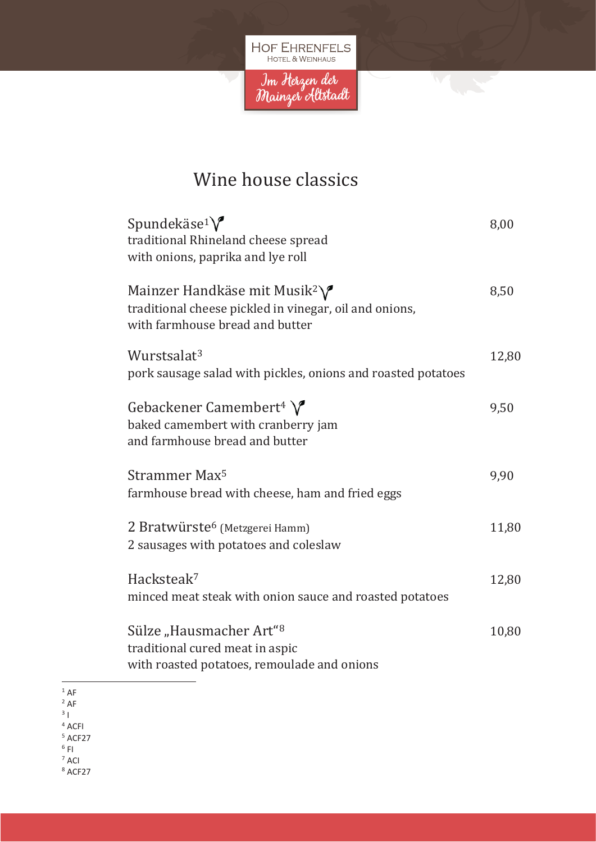

E.

### Wine house classics

| Spundekäse <sup>1</sup> $\sqrt{\ }$<br>traditional Rhineland cheese spread<br>with onions, paprika and lye roll                                  | 8,00  |
|--------------------------------------------------------------------------------------------------------------------------------------------------|-------|
| Mainzer Handkäse mit Musik <sup>2</sup> $\sqrt{\ }$<br>traditional cheese pickled in vinegar, oil and onions,<br>with farmhouse bread and butter | 8,50  |
| Wurstsalat <sup>3</sup><br>pork sausage salad with pickles, onions and roasted potatoes                                                          | 12,80 |
| Gebackener Camembert <sup>4</sup> $\sqrt{\phantom{a}}$<br>baked camembert with cranberry jam<br>and farmhouse bread and butter                   | 9,50  |
| Strammer Max <sup>5</sup><br>farmhouse bread with cheese, ham and fried eggs                                                                     | 9,90  |
| 2 Bratwürste <sup>6</sup> (Metzgerei Hamm)<br>2 sausages with potatoes and coleslaw                                                              | 11,80 |
| Hacksteak <sup>7</sup><br>minced meat steak with onion sauce and roasted potatoes                                                                | 12,80 |
| Sülze "Hausmacher Art" <sup>8</sup><br>traditional cured meat in aspic<br>with roasted potatoes, remoulade and onions                            | 10,80 |

 $1$  AF

 $2$  AF

 $3<sup>1</sup>$ <sup>4</sup> ACFI

<sup>5</sup> ACF27

 $6$  FI

<sup>7</sup> ACI

<sup>8</sup> ACF27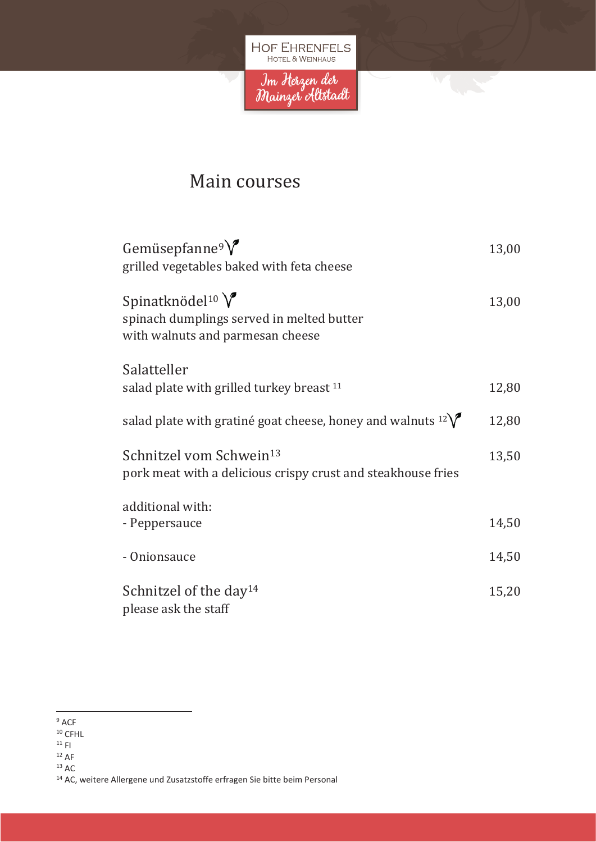

**Mary** 

#### Main courses

| Gemüsepfanne <sup>9</sup> $\sqrt{\ }$<br>grilled vegetables baked with feta cheese                              | 13,00 |
|-----------------------------------------------------------------------------------------------------------------|-------|
| Spinatknödel <sup>10</sup> $V$<br>spinach dumplings served in melted butter<br>with walnuts and parmesan cheese | 13,00 |
| Salatteller                                                                                                     |       |
| salad plate with grilled turkey breast <sup>11</sup>                                                            | 12,80 |
| salad plate with gratiné goat cheese, honey and walnuts $12\sqrt{ }$                                            | 12,80 |
| Schnitzel vom Schwein <sup>13</sup><br>pork meat with a delicious crispy crust and steakhouse fries             | 13,50 |
| additional with:                                                                                                |       |
| - Peppersauce                                                                                                   | 14,50 |
| - Onionsauce                                                                                                    | 14,50 |
| Schnitzel of the day <sup>14</sup>                                                                              | 15,20 |
| please ask the staff                                                                                            |       |

<sup>9</sup> ACF

<sup>10</sup> CFHL

 $^{\rm 11}$  FI

 $12$  AF

 $13$  AC

<sup>14</sup> AC, weitere Allergene und Zusatzstoffe erfragen Sie bitte beim Personal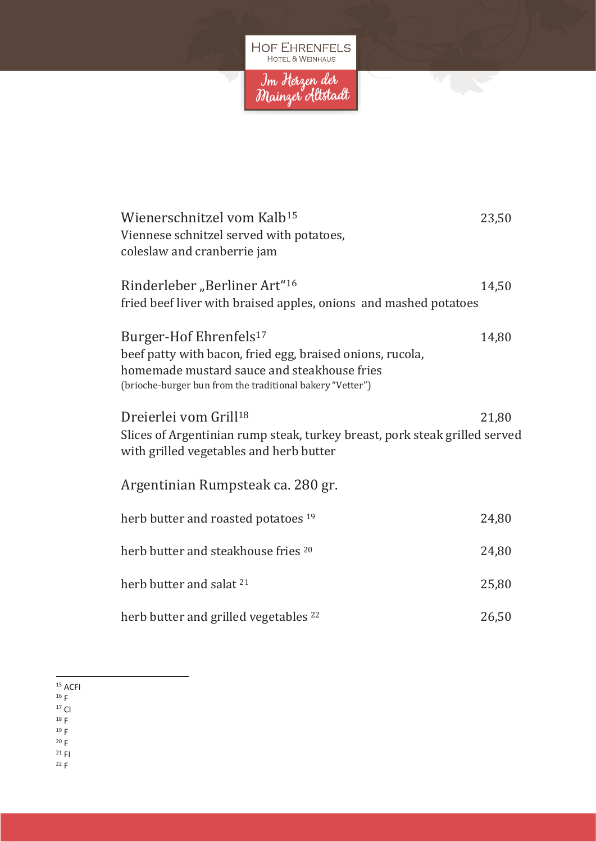

| Wienerschnitzel vom Kalb <sup>15</sup><br>Viennese schnitzel served with potatoes,<br>coleslaw and cranberrie jam                                                                                           | 23,50 |
|-------------------------------------------------------------------------------------------------------------------------------------------------------------------------------------------------------------|-------|
| Rinderleber "Berliner Art" <sup>16</sup><br>fried beef liver with braised apples, onions and mashed potatoes                                                                                                | 14,50 |
| Burger-Hof Ehrenfels <sup>17</sup><br>beef patty with bacon, fried egg, braised onions, rucola,<br>homemade mustard sauce and steakhouse fries<br>(brioche-burger bun from the traditional bakery "Vetter") | 14,80 |
| Dreierlei vom Grill <sup>18</sup><br>Slices of Argentinian rump steak, turkey breast, pork steak grilled served<br>with grilled vegetables and herb butter                                                  | 21,80 |
| Argentinian Rumpsteak ca. 280 gr.                                                                                                                                                                           |       |
| herb butter and roasted potatoes 19                                                                                                                                                                         | 24,80 |
| herb butter and steakhouse fries 20                                                                                                                                                                         | 24,80 |
| herb butter and salat <sup>21</sup>                                                                                                                                                                         | 25,80 |
| herb butter and grilled vegetables <sup>22</sup>                                                                                                                                                            | 26,50 |

- $16 F$
- $17$  CI

<sup>18</sup> F

<sup>19</sup> F

 $20 F$  $21$  FI

 $22 F$ 

<sup>15</sup> ACFI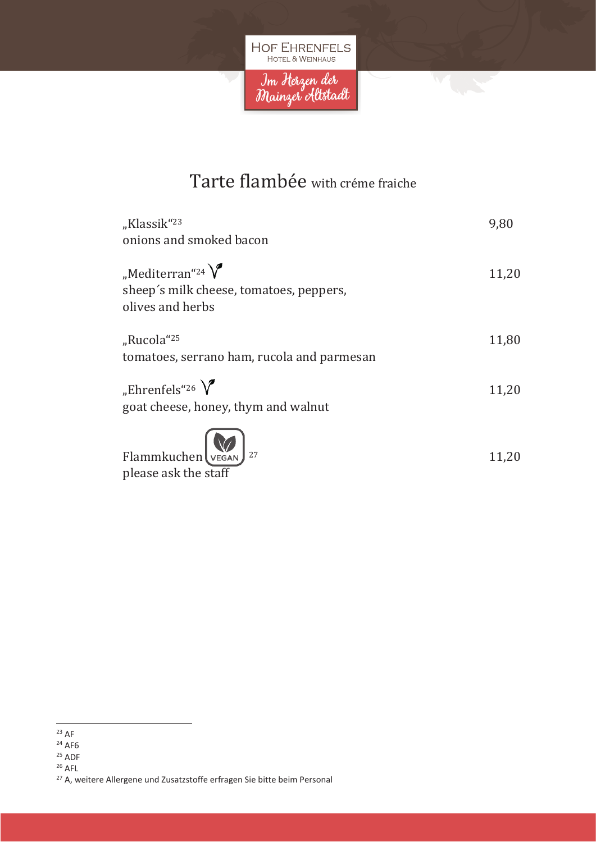

### Tarte flambée with créme fraiche

| "Klassik" <sup>23</sup><br>onions and smoked bacon                                                  | 9,80  |
|-----------------------------------------------------------------------------------------------------|-------|
| "Mediterran" <sup>24</sup> $\bigvee$<br>sheep's milk cheese, tomatoes, peppers,<br>olives and herbs | 11,20 |
| "Rucola" <sup>25</sup><br>tomatoes, serrano ham, rucola and parmesan                                | 11,80 |
| "Ehrenfels" <sup>26</sup> $\sqrt{\ }$<br>goat cheese, honey, thym and walnut                        | 11,20 |
| Flammkuchen VEGAN 27                                                                                | 11,20 |

please ask the staff

 $25$  ADF

<sup>26</sup> AFL

<sup>23</sup> AF

 $24$  AF6

<sup>&</sup>lt;sup>27</sup> A, weitere Allergene und Zusatzstoffe erfragen Sie bitte beim Personal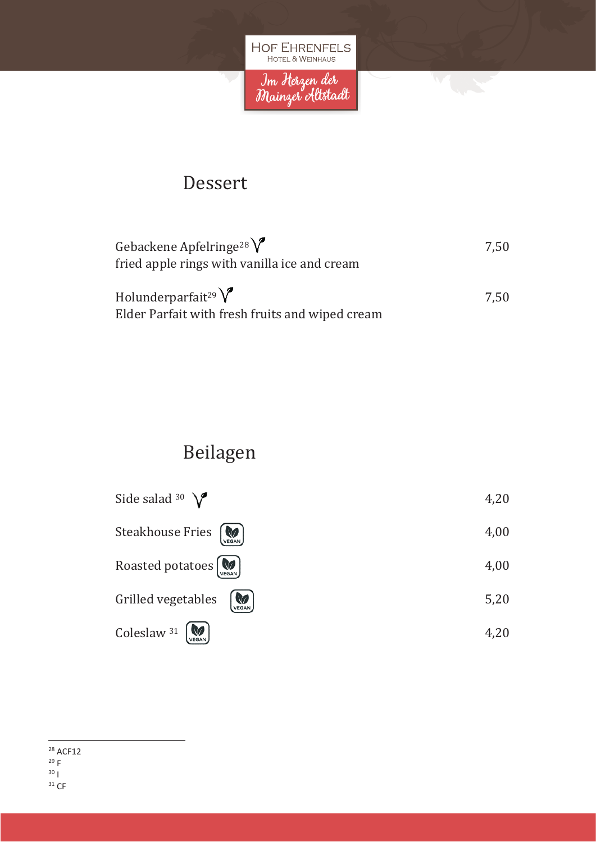

#### Dessert

| Gebackene Apfelringe <sup>28</sup><br>fried apple rings with vanilla ice and cream   | 7.50 |
|--------------------------------------------------------------------------------------|------|
| Holunderparfait <sup>29</sup> $V$<br>Elder Parfait with fresh fruits and wiped cream | 7.50 |

## Beilagen

| Side salad 30 $\sqrt{\phantom{a}}$                   | 4,20 |
|------------------------------------------------------|------|
| Steakhouse Fries [M]                                 | 4,00 |
| Roasted potatoes [Max]                               | 4,00 |
| Grilled vegetables                                   | 5,20 |
| Coleslaw 31 $\left[\bigotimes_{\text{VEGAN}}\right]$ | 4,20 |